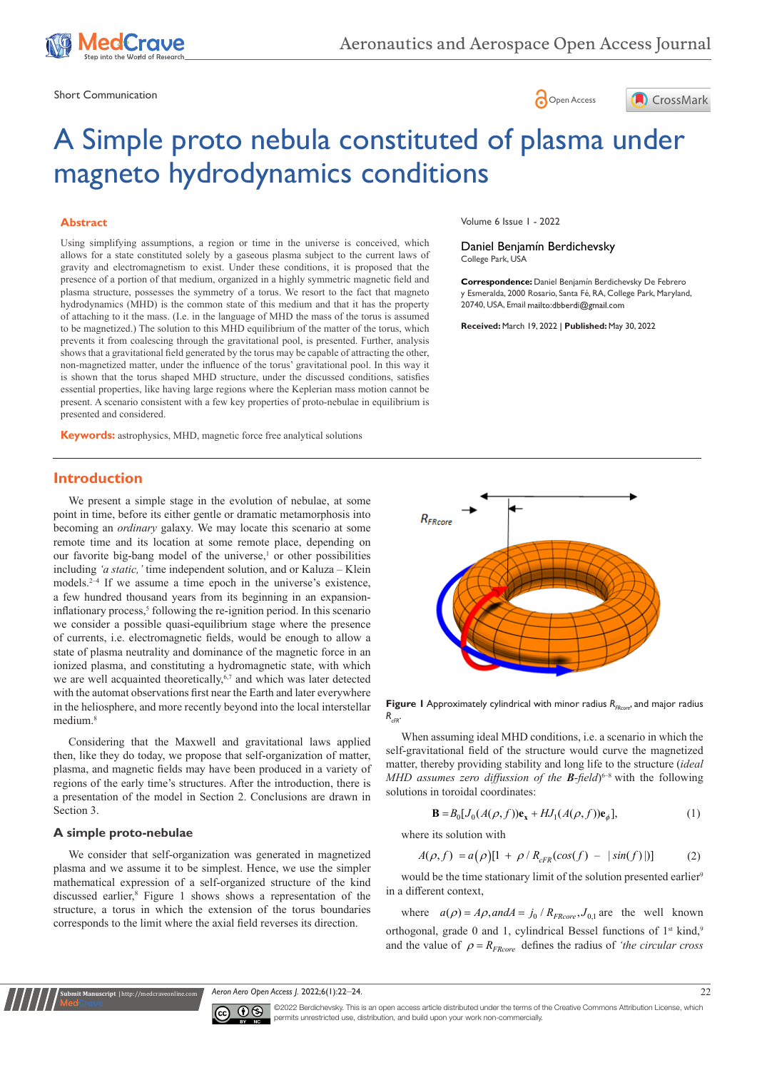

Short Communication and the state of the state of the state of the Spen Access of the Spen Access of the Spen Access of the Spen Access of the Spen Access of the Spen Access of the Spen Access of the Spen Access of the Spe





# A Simple proto nebula constituted of plasma under magneto hydrodynamics conditions

#### **Abstract**

Using simplifying assumptions, a region or time in the universe is conceived, which allows for a state constituted solely by a gaseous plasma subject to the current laws of gravity and electromagnetism to exist. Under these conditions, it is proposed that the presence of a portion of that medium, organized in a highly symmetric magnetic field and plasma structure, possesses the symmetry of a torus. We resort to the fact that magneto hydrodynamics (MHD) is the common state of this medium and that it has the property of attaching to it the mass. (I.e. in the language of MHD the mass of the torus is assumed to be magnetized.) The solution to this MHD equilibrium of the matter of the torus, which prevents it from coalescing through the gravitational pool, is presented. Further, analysis shows that a gravitational field generated by the torus may be capable of attracting the other, non-magnetized matter, under the influence of the torus' gravitational pool. In this way it is shown that the torus shaped MHD structure, under the discussed conditions, satisfies essential properties, like having large regions where the Keplerian mass motion cannot be present. A scenario consistent with a few key properties of proto-nebulae in equilibrium is presented and considered.

**Keywords:** astrophysics, MHD, magnetic force free analytical solutions

# **Introduction**

We present a simple stage in the evolution of nebulae, at some point in time, before its either gentle or dramatic metamorphosis into becoming an *ordinary* galaxy. We may locate this scenario at some remote time and its location at some remote place, depending on our favorite big-bang model of the universe,<sup>1</sup> or other possibilities including *'a static,'* time independent solution, and or Kaluza – Klein models.2–4 If we assume a time epoch in the universe's existence, a few hundred thousand years from its beginning in an expansioninflationary process,<sup>5</sup> following the re-ignition period. In this scenario we consider a possible quasi-equilibrium stage where the presence of currents, i.e. electromagnetic fields, would be enough to allow a state of plasma neutrality and dominance of the magnetic force in an ionized plasma, and constituting a hydromagnetic state, with which we are well acquainted theoretically,<sup>6,7</sup> and which was later detected with the automat observations first near the Earth and later everywhere in the heliosphere, and more recently beyond into the local interstellar medium.<sup>8</sup>

Considering that the Maxwell and gravitational laws applied then, like they do today, we propose that self-organization of matter, plasma, and magnetic fields may have been produced in a variety of regions of the early time's structures. After the introduction, there is a presentation of the model in Section 2. Conclusions are drawn in Section 3.

#### **A simple proto-nebulae**

**Kanuscript** | http://medcr

We consider that self-organization was generated in magnetized plasma and we assume it to be simplest. Hence, we use the simpler mathematical expression of a self-organized structure of the kind discussed earlier,<sup>8</sup> Figure 1 shows shows a representation of the structure, a torus in which the extension of the torus boundaries corresponds to the limit where the axial field reverses its direction.

Volume 6 Issue 1 - 2022

Daniel Benjamín Berdichevsky College Park, USA

**Correspondence:** Daniel Benjamín Berdichevsky De Febrero y Esmeralda, 2000 Rosario, Santa Fé, RA, College Park, Maryland, 20740, USA, Email mailto:dbberdi@gmail.com

**Received:** March 19, 2022 | **Published:** May 30, 2022



**Figure 1** Approximately cylindrical with minor radius  $R_{FRC0}$  and major radius  $R_{CR}$ 

When assuming ideal MHD conditions, i.e. a scenario in which the self-gravitational field of the structure would curve the magnetized matter, thereby providing stability and long life to the structure (*ideal MHD assumes zero diffussion of the B-field*<sup> $6-8$ </sup> with the following solutions in toroidal coordinates:

$$
\mathbf{B} = B_0 [J_0(A(\rho, f)) \mathbf{e}_x + H J_1(A(\rho, f)) \mathbf{e}_\phi],\tag{1}
$$

where its solution with

$$
A(\rho, f) = a(\rho)[1 + \rho / R_{cFR}(cos(f) - |sin(f)|)] \tag{2}
$$

would be the time stationary limit of the solution presented earlier<sup>9</sup> in a different context,

where  $a(\rho) = A\rho$ , and  $A = j_0 / R_{FRcore}$ ,  $J_{0.1}$  are the well known orthogonal, grade 0 and 1, cylindrical Bessel functions of  $1<sup>st</sup>$  kind,<sup>9</sup> and the value of  $\rho = R_{FRcore}$  defines the radius of *'the circular cross* 

*Aeron Aero Open Access J.* 2022;6(1):22‒24. 22



©2022 Berdichevsky. This is an open access article distributed under the terms of the Creative Commons Attribution License, which permits unrestricted use, distribution, and build upon your work non-commercially.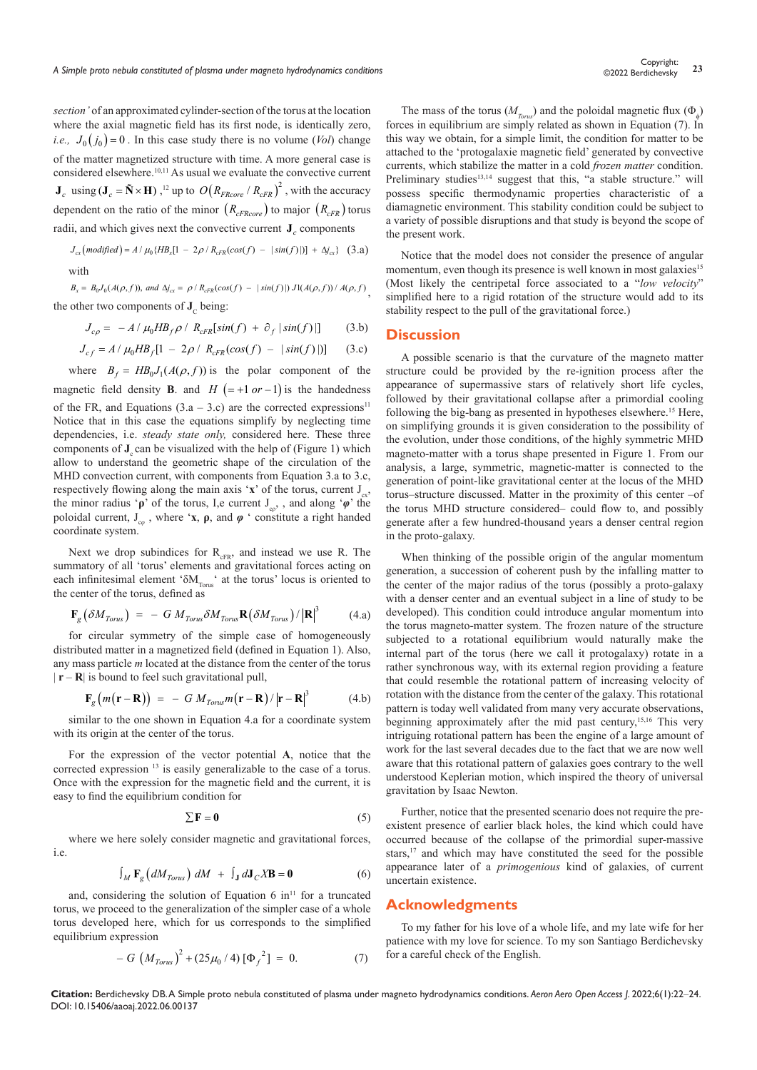*section'* of an approximated cylinder-section of the torus at the location where the axial magnetic field has its first node, is identically zero, *i.e.,*  $J_0(j_0) = 0$ . In this case study there is no volume (*Vol*) change of the matter magnetized structure with time. A more general case is considered elsewhere.<sup>10,11</sup> As usual we evaluate the convective current  $J_c$  using ( $J_c = \tilde{N} \times H$ ), <sup>12</sup> up to  $O(R_{FRcore} / R_{cFR})^2$ , with the accuracy dependent on the ratio of the minor  $(R_{cFRcore})$  to major  $(R_{cFR})$  torus radii, and which gives next the convective current  $J_c$  components

$$
J_{cx} \left( \text{modified} \right) = A / \mu_0 \{ H B_x [1 - 2\rho / R_{cFR}(\cos(f) - |\sin(f)|)] + \Delta j_{cx} \} \quad (3.\text{a})
$$

with

 $B_x = B_0 J_0(A(\rho, f))$ , and  $\Delta j_{cx} = \rho / R_{cFR}(\cos(f) - |\sin(f)|) J1(A(\rho, f)) / A(\rho, f)$ the other two components of  $J_c$  being:

$$
J_{c\rho} = -A/\mu_0 H B_f \rho / R_{cFR}[\sin(f) + \partial_f |\sin(f)|]
$$
 (3.b)

$$
J_{cf} = A / \mu_0 H B_f [1 - 2\rho / R_{cFR} (cos(f) - |sin(f)|)] \qquad (3.c)
$$

where  $B_f = HB_0J_1(A(\rho, f))$  is the polar component of the magnetic field density **B**. and  $H = +1$  or  $-1$  is the handedness of the FR, and Equations  $(3.a - 3.c)$  are the corrected expressions<sup>11</sup> Notice that in this case the equations simplify by neglecting time dependencies, i.e. *steady state only,* considered here. These three components of **J**<sub>c</sub> can be visualized with the help of (Figure 1) which allow to understand the geometric shape of the circulation of the MHD convection current, with components from Equation 3.a to 3.c, respectively flowing along the main axis '**x**' of the torus, current  $J_{\alpha}$ , the minor radius '**ρ**' of the torus, I,e current J<sub>co</sub>,, and along '*φ*' the poloidal current,  $J_{\varphi}$ , where '**x**, **ρ**, and  $\varphi$  ' constitute a right handed coordinate system.

Next we drop subindices for  $R_{cFR}$ , and instead we use R. The summatory of all 'torus' elements and gravitational forces acting on each infinitesimal element ' $\delta M_{T_{\text{Orrus}}}$ ' at the torus' locus is oriented to the center of the torus, defined as

$$
\mathbf{F}_{g} \left( \delta M_{Torus} \right) = - G M_{Torus} \delta M_{Torus} \mathbf{R} \left( \delta M_{Torus} \right) / \left| \mathbf{R} \right|^{3} \tag{4. a}
$$

for circular symmetry of the simple case of homogeneously distributed matter in a magnetized field (defined in Equation 1). Also, any mass particle *m* located at the distance from the center of the torus  $|\mathbf{r} - \mathbf{R}|$  is bound to feel such gravitational pull,

$$
\mathbf{F}_g(m(\mathbf{r}-\mathbf{R})) = -GM_{Torus}m(\mathbf{r}-\mathbf{R})/|\mathbf{r}-\mathbf{R}|^3 \tag{4.b}
$$

similar to the one shown in Equation 4.a for a coordinate system with its origin at the center of the torus.

For the expression of the vector potential **A**, notice that the corrected expression 13 is easily generalizable to the case of a torus. Once with the expression for the magnetic field and the current, it is easy to find the equilibrium condition for

$$
\sum \mathbf{F} = \mathbf{0} \tag{5}
$$

where we here solely consider magnetic and gravitational forces, i.e.

$$
\int_{M} \mathbf{F}_{g} \left( dM_{Torus} \right) dM + \int_{J} dJ_{C} X \mathbf{B} = \mathbf{0}
$$
 (6)

and, considering the solution of Equation 6 in<sup>11</sup> for a truncated torus, we proceed to the generalization of the simpler case of a whole torus developed here, which for us corresponds to the simplified equilibrium expression

$$
- G \left( M_{Torus} \right)^2 + (25 \mu_0 / 4) \left[ \Phi_f^2 \right] = 0. \tag{7}
$$

The mass of the torus ( $M_{\text{Torus}}$ ) and the poloidal magnetic flux ( $\Phi_{\phi}$ ) forces in equilibrium are simply related as shown in Equation (7). In this way we obtain, for a simple limit, the condition for matter to be attached to the 'protogalaxie magnetic field' generated by convective currents, which stabilize the matter in a cold *frozen matter* condition. Preliminary studies<sup>13,14</sup> suggest that this, "a stable structure." will possess specific thermodynamic properties characteristic of a diamagnetic environment. This stability condition could be subject to a variety of possible disruptions and that study is beyond the scope of the present work.

Notice that the model does not consider the presence of angular momentum, even though its presence is well known in most galaxies<sup>15</sup> (Most likely the centripetal force associated to a "*low velocity*" simplified here to a rigid rotation of the structure would add to its stability respect to the pull of the gravitational force.)

## **Discussion**

A possible scenario is that the curvature of the magneto matter structure could be provided by the re-ignition process after the appearance of supermassive stars of relatively short life cycles, followed by their gravitational collapse after a primordial cooling following the big-bang as presented in hypotheses elsewhere.<sup>15</sup> Here, on simplifying grounds it is given consideration to the possibility of the evolution, under those conditions, of the highly symmetric MHD magneto-matter with a torus shape presented in Figure 1. From our analysis, a large, symmetric, magnetic-matter is connected to the generation of point-like gravitational center at the locus of the MHD torus–structure discussed. Matter in the proximity of this center –of the torus MHD structure considered– could flow to, and possibly generate after a few hundred-thousand years a denser central region in the proto-galaxy.

When thinking of the possible origin of the angular momentum generation, a succession of coherent push by the infalling matter to the center of the major radius of the torus (possibly a proto-galaxy with a denser center and an eventual subject in a line of study to be developed). This condition could introduce angular momentum into the torus magneto-matter system. The frozen nature of the structure subjected to a rotational equilibrium would naturally make the internal part of the torus (here we call it protogalaxy) rotate in a rather synchronous way, with its external region providing a feature that could resemble the rotational pattern of increasing velocity of rotation with the distance from the center of the galaxy. This rotational pattern is today well validated from many very accurate observations, beginning approximately after the mid past century,<sup>15,16</sup> This very intriguing rotational pattern has been the engine of a large amount of work for the last several decades due to the fact that we are now well aware that this rotational pattern of galaxies goes contrary to the well understood Keplerian motion, which inspired the theory of universal gravitation by Isaac Newton.

Further, notice that the presented scenario does not require the preexistent presence of earlier black holes, the kind which could have occurred because of the collapse of the primordial super-massive stars,<sup>17</sup> and which may have constituted the seed for the possible appearance later of a *primogenious* kind of galaxies, of current uncertain existence.

#### **Acknowledgments**

To my father for his love of a whole life, and my late wife for her patience with my love for science. To my son Santiago Berdichevsky for a careful check of the English.

**Citation:** Berdichevsky DB. A Simple proto nebula constituted of plasma under magneto hydrodynamics conditions. *Aeron Aero Open Access J.* 2022;6(1):22‒24. DOI: [10.15406/aaoaj.2022.06.00137](https://doi.org/10.15406/aaoaj.2022.06.00137)